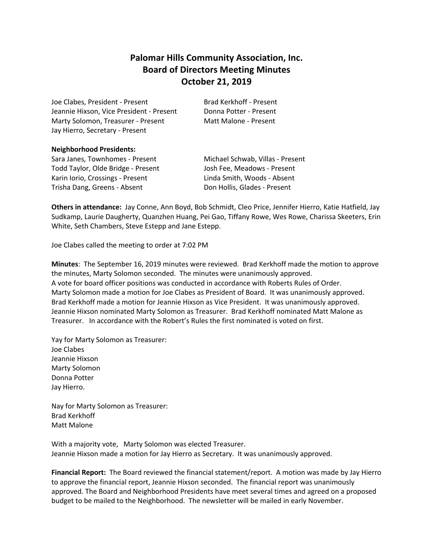# **Palomar Hills Community Association, Inc. Board of Directors Meeting Minutes October 21, 2019**

Joe Clabes, President - Present Brad Kerkhoff - Present Jeannie Hixson, Vice President - Present Donna Potter - Present Marty Solomon, Treasurer - Present Matt Malone - Present Jay Hierro, Secretary - Present

## **Neighborhood Presidents:**

Sara Janes, Townhomes - Present Michael Schwab, Villas - Present Todd Taylor, Olde Bridge - Present Josh Fee, Meadows - Present Karin Iorio, Crossings - Present Linda Smith, Woods - Absent Trisha Dang, Greens - Absent **Don Hollis, Glades - Present** 

**Others in attendance:** Jay Conne, Ann Boyd, Bob Schmidt, Cleo Price, Jennifer Hierro, Katie Hatfield, Jay Sudkamp, Laurie Daugherty, Quanzhen Huang, Pei Gao, Tiffany Rowe, Wes Rowe, Charissa Skeeters, Erin White, Seth Chambers, Steve Estepp and Jane Estepp.

Joe Clabes called the meeting to order at 7:02 PM

**Minutes**: The September 16, 2019 minutes were reviewed. Brad Kerkhoff made the motion to approve the minutes, Marty Solomon seconded. The minutes were unanimously approved. A vote for board officer positions was conducted in accordance with Roberts Rules of Order. Marty Solomon made a motion for Joe Clabes as President of Board. It was unanimously approved. Brad Kerkhoff made a motion for Jeannie Hixson as Vice President. It was unanimously approved. Jeannie Hixson nominated Marty Solomon as Treasurer. Brad Kerkhoff nominated Matt Malone as Treasurer. In accordance with the Robert's Rules the first nominated is voted on first.

Yay for Marty Solomon as Treasurer: Joe Clabes Jeannie Hixson Marty Solomon Donna Potter Jay Hierro.

Nay for Marty Solomon as Treasurer: Brad Kerkhoff Matt Malone

With a majority vote, Marty Solomon was elected Treasurer. Jeannie Hixson made a motion for Jay Hierro as Secretary. It was unanimously approved.

**Financial Report:** The Board reviewed the financial statement/report. A motion was made by Jay Hierro to approve the financial report, Jeannie Hixson seconded. The financial report was unanimously approved. The Board and Neighborhood Presidents have meet several times and agreed on a proposed budget to be mailed to the Neighborhood. The newsletter will be mailed in early November.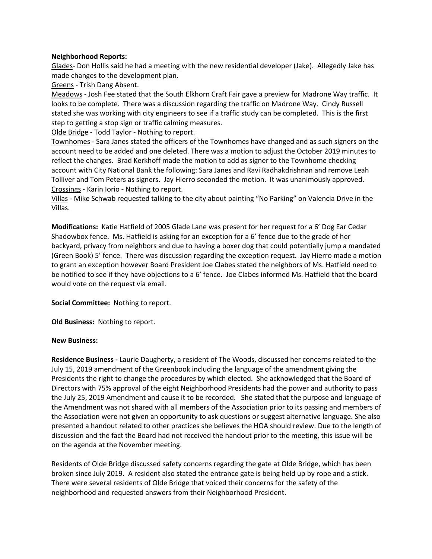# **Neighborhood Reports:**

Glades- Don Hollis said he had a meeting with the new residential developer (Jake). Allegedly Jake has made changes to the development plan.

Greens - Trish Dang Absent.

Meadows - Josh Fee stated that the South Elkhorn Craft Fair gave a preview for Madrone Way traffic. It looks to be complete. There was a discussion regarding the traffic on Madrone Way. Cindy Russell stated she was working with city engineers to see if a traffic study can be completed. This is the first step to getting a stop sign or traffic calming measures.

Olde Bridge - Todd Taylor - Nothing to report.

Townhomes - Sara Janes stated the officers of the Townhomes have changed and as such signers on the account need to be added and one deleted. There was a motion to adjust the October 2019 minutes to reflect the changes. Brad Kerkhoff made the motion to add as signer to the Townhome checking account with City National Bank the following: Sara Janes and Ravi Radhakdrishnan and remove Leah Tolliver and Tom Peters as signers. Jay Hierro seconded the motion. It was unanimously approved. Crossings - Karin Iorio - Nothing to report.

Villas - Mike Schwab requested talking to the city about painting "No Parking" on Valencia Drive in the Villas.

**Modifications:** Katie Hatfield of 2005 Glade Lane was present for her request for a 6' Dog Ear Cedar Shadowbox fence. Ms. Hatfield is asking for an exception for a 6' fence due to the grade of her backyard, privacy from neighbors and due to having a boxer dog that could potentially jump a mandated (Green Book) 5' fence. There was discussion regarding the exception request. Jay Hierro made a motion to grant an exception however Board President Joe Clabes stated the neighbors of Ms. Hatfield need to be notified to see if they have objections to a 6' fence. Joe Clabes informed Ms. Hatfield that the board would vote on the request via email.

#### **Social Committee:** Nothing to report.

**Old Business:** Nothing to report.

#### **New Business:**

**Residence Business -** Laurie Daugherty, a resident of The Woods, discussed her concerns related to the July 15, 2019 amendment of the Greenbook including the language of the amendment giving the Presidents the right to change the procedures by which elected. She acknowledged that the Board of Directors with 75% approval of the eight Neighborhood Presidents had the power and authority to pass the July 25, 2019 Amendment and cause it to be recorded. She stated that the purpose and language of the Amendment was not shared with all members of the Association prior to its passing and members of the Association were not given an opportunity to ask questions or suggest alternative language. She also presented a handout related to other practices she believes the HOA should review. Due to the length of discussion and the fact the Board had not received the handout prior to the meeting, this issue will be on the agenda at the November meeting.

Residents of Olde Bridge discussed safety concerns regarding the gate at Olde Bridge, which has been broken since July 2019. A resident also stated the entrance gate is being held up by rope and a stick. There were several residents of Olde Bridge that voiced their concerns for the safety of the neighborhood and requested answers from their Neighborhood President.